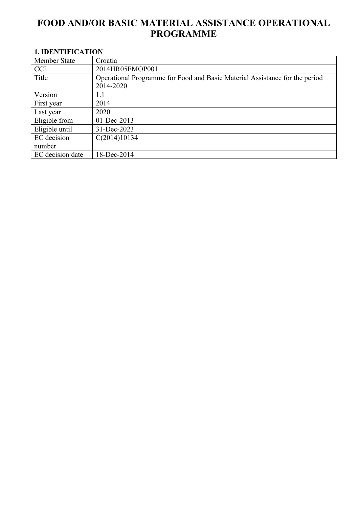# **FOOD AND/OR BASIC MATERIAL ASSISTANCE OPERATIONAL PROGRAMME**

# <span id="page-0-0"></span>**1. IDENTIFICATION**

| <b>Member State</b> | Croatia                                                                     |
|---------------------|-----------------------------------------------------------------------------|
| <b>CCI</b>          | 2014HR05FMOP001                                                             |
| Title               | Operational Programme for Food and Basic Material Assistance for the period |
|                     | 2014-2020                                                                   |
| Version             | 1.1                                                                         |
| First year          | 2014                                                                        |
| Last year           | 2020                                                                        |
| Eligible from       | 01-Dec-2013                                                                 |
| Eligible until      | 31-Dec-2023                                                                 |
| EC decision         | C(2014)10134                                                                |
| number              |                                                                             |
| EC decision date    | 18-Dec-2014                                                                 |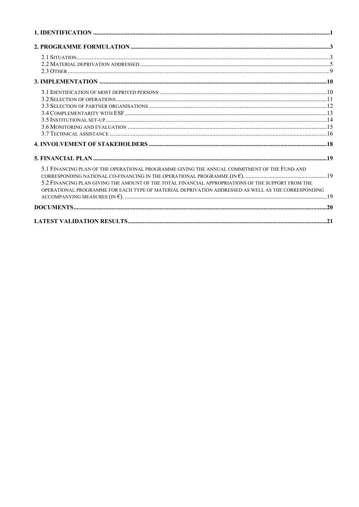| 5.1 FINANCING PLAN OF THE OPERATIONAL PROGRAMME GIVING THE ANNUAL COMMITMENT OF THE FUND AND       |  |
|----------------------------------------------------------------------------------------------------|--|
|                                                                                                    |  |
| 5.2 FINANCING PLAN GIVING THE AMOUNT OF THE TOTAL FINANCIAL APPROPRIATIONS OF THE SUPPORT FROM THE |  |
| OPERATIONAL PROGRAMME FOR EACH TYPE OF MATERIAL DEPRIVATION ADDRESSED AS WELL AS THE CORRESPONDING |  |
|                                                                                                    |  |
|                                                                                                    |  |
|                                                                                                    |  |
|                                                                                                    |  |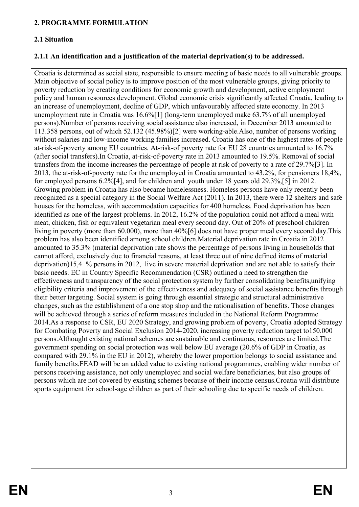#### <span id="page-2-0"></span>**2. PROGRAMME FORMULATION**

## <span id="page-2-1"></span>**2.1 Situation**

## **2.1.1 An identification and a justification of the material deprivation(s) to be addressed.**

Croatia is determined as social state, responsible to ensure meeting of basic needs to all vulnerable groups. Main objective of social policy is to improve position of the most vulnerable groups, giving priority to poverty reduction by creating conditions for economic growth and development, active employment policy and human resources development. Global economic crisis significantly affected Croatia, leading to an increase of unemployment, decline of GDP, which unfavourably affected state economy. In 2013 unemployment rate in Croatia was 16.6%[1] (long-term unemployed make 63.7% of all unemployed persons).Number of persons receiving social assistance also increased, in December 2013 amounted to 113.358 persons, out of which 52.132 (45.98%)[2] were working-able.Also, number of persons working without salaries and low-income working families increased. Croatia has one of the highest rates of people at-risk-of-poverty among EU countries. At-risk-of poverty rate for EU 28 countries amounted to 16.7% (after social transfers).In Croatia, at-risk-of-poverty rate in 2013 amounted to 19.5%. Removal of social transfers from the income increases the percentage of people at risk of poverty to a rate of 29.7%[3]. In 2013, the at-risk-of-poverty rate for the unemployed in Croatia amounted to 43.2%, for pensioners 18,4%, for employed persons 6.2%[4], and for children and youth under 18 years old 29.3%,[5] in 2012. Growing problem in Croatia has also became homelessness. Homeless persons have only recently been recognized as a special category in the Social Welfare Act (2011). In 2013, there were 12 shelters and safe houses for the homeless, with accommodation capacities for 400 homeless. Food deprivation has been identified as one of the largest problems. In 2012, 16.2% of the population could not afford a meal with meat, chicken, fish or equivalent vegetarian meal every second day. Out of 20% of preschool children living in poverty (more than 60.000), more than 40%[6] does not have proper meal every second day.This problem has also been identified among school children.Material deprivation rate in Croatia in 2012 amounted to 35.3% (material deprivation rate shows the percentage of persons living in households that cannot afford, exclusively due to financial reasons, at least three out of nine defined items of material deprivation)15,4 % persons in 2012, live in severe material deprivation and are not able to satisfy their basic needs. EC in Country Specific Recommendation (CSR) outlined a need to strengthen the effectiveness and transparency of the social protection system by further consolidating benefits,unifying eligibility criteria and improvement of the effectiveness and adequacy of social assistance benefits through their better targeting. Social system is going through essential strategic and structural administrative changes, such as the establishment of a one stop shop and the rationalisation of benefits. Those changes will be achieved through a series of reform measures included in the National Reform Programme 2014.As a response to CSR, EU 2020 Strategy, and growing problem of poverty, Croatia adopted Strategy for Combating Poverty and Social Exclusion 2014-2020, increasing poverty reduction target to150.000 persons.Althought existing national schemes are sustainable and continuous, resources are limited.The government spending on social protection was well below EU average (20.6% of GDP in Croatia, as compared with 29.1% in the EU in 2012), whereby the lower proportion belongs to social assistance and family benefits.FEAD will be an added value to existing national programmes, enabling wider number of persons receiving assistance, not only unemployed and social welfare beneficiaries, but also groups of persons which are not covered by existing schemes because of their income census.Croatia will distribute sports equipment for school-age children as part of their schooling due to specific needs of children.

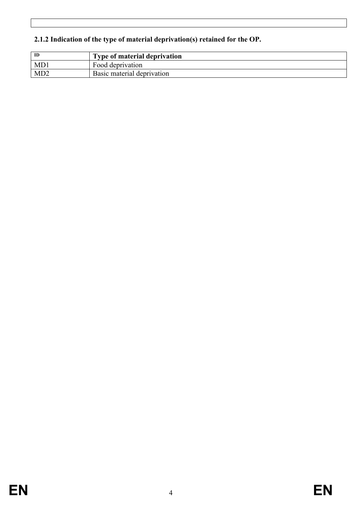# **2.1.2 Indication of the type of material deprivation(s) retained for the OP.**

| ID  | <b>Type of material deprivation</b> |
|-----|-------------------------------------|
| MD1 | Food deprivation                    |
| MD2 | Basic material deprivation          |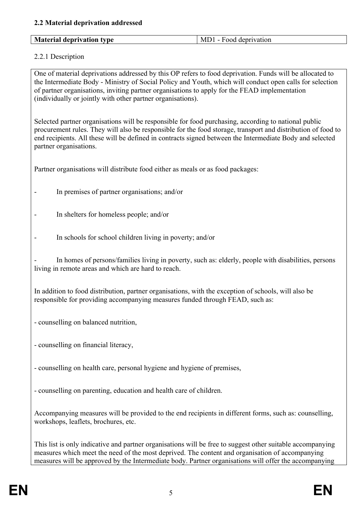<span id="page-4-0"></span>

|  |  | <b>Material deprivation type</b> | Food deprivation<br>MT |
|--|--|----------------------------------|------------------------|
|--|--|----------------------------------|------------------------|

## 2.2.1 Description

One of material deprivations addressed by this OP refers to food deprivation. Funds will be allocated to the Intermediate Body - Ministry of Social Policy and Youth, which will conduct open calls for selection of partner organisations, inviting partner organisations to apply for the FEAD implementation (individually or jointly with other partner organisations).

Selected partner organisations will be responsible for food purchasing, according to national public procurement rules. They will also be responsible for the food storage, transport and distribution of food to end recipients. All these will be defined in contracts signed between the Intermediate Body and selected partner organisations.

Partner organisations will distribute food either as meals or as food packages:

- In premises of partner organisations; and/or
- In shelters for homeless people; and/or
- In schools for school children living in poverty; and/or

In homes of persons/families living in poverty, such as: elderly, people with disabilities, persons living in remote areas and which are hard to reach.

In addition to food distribution, partner organisations, with the exception of schools, will also be responsible for providing accompanying measures funded through FEAD, such as:

- counselling on balanced nutrition,
- counselling on financial literacy,
- counselling on health care, personal hygiene and hygiene of premises,
- counselling on parenting, education and health care of children.

Accompanying measures will be provided to the end recipients in different forms, such as: counselling, workshops, leaflets, brochures, etc.

This list is only indicative and partner organisations will be free to suggest other suitable accompanying measures which meet the need of the most deprived. The content and organisation of accompanying measures will be approved by the Intermediate body. Partner organisations will offer the accompanying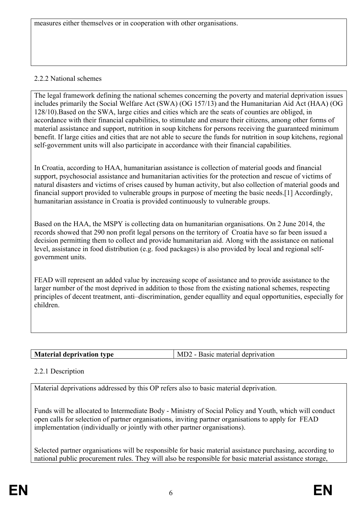measures either themselves or in cooperation with other organisations.

## 2.2.2 National schemes

The legal framework defining the national schemes concerning the poverty and material deprivation issues includes primarily the Social Welfare Act (SWA) (OG 157/13) and the Humanitarian Aid Act (HAA) (OG 128/10).Based on the SWA, large cities and cities which are the seats of counties are obliged, in accordance with their financial capabilities, to stimulate and ensure their citizens, among other forms of material assistance and support, nutrition in soup kitchens for persons receiving the guaranteed minimum benefit. If large cities and cities that are not able to secure the funds for nutrition in soup kitchens, regional self-government units will also participate in accordance with their financial capabilities.

In Croatia, according to HAA, humanitarian assistance is collection of material goods and financial support, psychosocial assistance and humanitarian activities for the protection and rescue of victims of natural disasters and victims of crises caused by human activity, but also collection of material goods and financial support provided to vulnerable groups in purpose of meeting the basic needs.[1] Accordingly, humanitarian assistance in Croatia is provided continuously to vulnerable groups.

Based on the HAA, the MSPY is collecting data on humanitarian organisations. On 2 June 2014, the records showed that 290 non profit legal persons on the territory of Croatia have so far been issued a decision permitting them to collect and provide humanitarian aid. Along with the assistance on national level, assistance in food distribution (e.g. food packages) is also provided by local and regional selfgovernment units.

FEAD will represent an added value by increasing scope of assistance and to provide assistance to the larger number of the most deprived in addition to those from the existing national schemes, respecting principles of decent treatment, anti–discrimination, gender equallity and equal opportunities, especially for children.

|--|

## 2.2.1 Description

Material deprivations addressed by this OP refers also to basic material deprivation.

Funds will be allocated to Intermediate Body - Ministry of Social Policy and Youth, which will conduct open calls for selection of partner organisations, inviting partner organisations to apply for FEAD implementation (individually or jointly with other partner organisations).

Selected partner organisations will be responsible for basic material assistance purchasing, according to national public procurement rules. They will also be responsible for basic material assistance storage,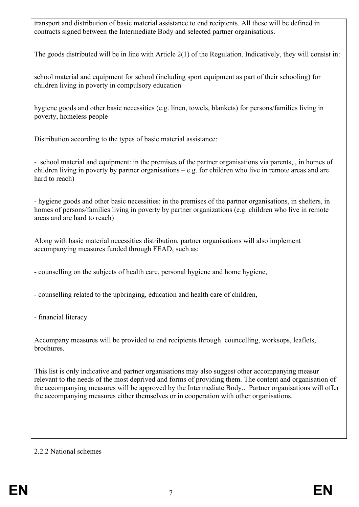transport and distribution of basic material assistance to end recipients. All these will be defined in contracts signed between the Intermediate Body and selected partner organisations.

The goods distributed will be in line with Article 2(1) of the Regulation. Indicatively, they will consist in:

school material and equipment for school (including sport equipment as part of their schooling) for children living in poverty in compulsory education

hygiene goods and other basic necessities (e.g. linen, towels, blankets) for persons/families living in poverty, homeless people

Distribution according to the types of basic material assistance:

- school material and equipment: in the premises of the partner organisations via parents, , in homes of children living in poverty by partner organisations – e.g. for children who live in remote areas and are hard to reach)

- hygiene goods and other basic necessities: in the premises of the partner organisations, in shelters, in homes of persons/families living in poverty by partner organizations (e.g. children who live in remote areas and are hard to reach)

Along with basic material necessities distribution, partner organisations will also implement accompanying measures funded through FEAD, such as:

- counselling on the subjects of health care, personal hygiene and home hygiene,

- counselling related to the upbringing, education and health care of children,

- financial literacy.

Accompany measures will be provided to end recipients through councelling, worksops, leaflets, **brochures** 

This list is only indicative and partner organisations may also suggest other accompanying measur relevant to the needs of the most deprived and forms of providing them. The content and organisation of the accompanying measures will be approved by the Intermediate Body.. Partner organisations will offer the accompanying measures either themselves or in cooperation with other organisations.

#### 2.2.2 National schemes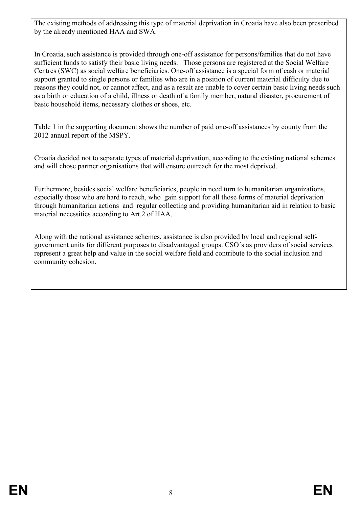The existing methods of addressing this type of material deprivation in Croatia have also been prescribed by the already mentioned HAA and SWA.

In Croatia, such assistance is provided through one-off assistance for persons/families that do not have sufficient funds to satisfy their basic living needs. Those persons are registered at the Social Welfare Centres (SWC) as social welfare beneficiaries. One-off assistance is a special form of cash or material support granted to single persons or families who are in a position of current material difficulty due to reasons they could not, or cannot affect, and as a result are unable to cover certain basic living needs such as a birth or education of a child, illness or death of a family member, natural disaster, procurement of basic household items, necessary clothes or shoes, etc.

Table 1 in the supporting document shows the number of paid one-off assistances by county from the 2012 annual report of the MSPY.

Croatia decided not to separate types of material deprivation, according to the existing national schemes and will chose partner organisations that will ensure outreach for the most deprived.

Furthermore, besides social welfare beneficiaries, people in need turn to humanitarian organizations, especially those who are hard to reach, who gain support for all those forms of material deprivation through humanitarian actions and regular collecting and providing humanitarian aid in relation to basic material necessities according to Art.2 of HAA.

Along with the national assistance schemes, assistance is also provided by local and regional selfgovernment units for different purposes to disadvantaged groups. CSO´s as providers of social services represent a great help and value in the social welfare field and contribute to the social inclusion and community cohesion.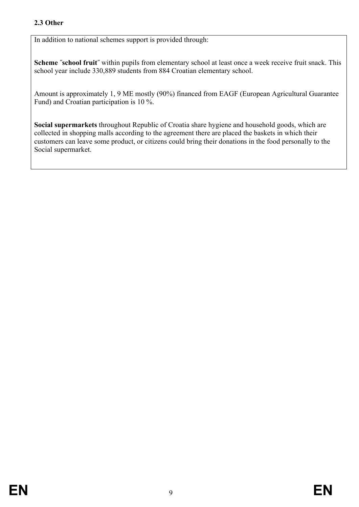## <span id="page-8-0"></span>**2.3 Other**

In addition to national schemes support is provided through:

**Scheme "school fruit"** within pupils from elementary school at least once a week receive fruit snack. This school year include 330,889 students from 884 Croatian elementary school.

Amount is approximately 1, 9 ME mostly (90%) financed from EAGF (European Agricultural Guarantee Fund) and Croatian participation is 10 %.

**Social supermarkets** throughout Republic of Croatia share hygiene and household goods, which are collected in shopping malls according to the agreement there are placed the baskets in which their customers can leave some product, or citizens could bring their donations in the food personally to the Social supermarket.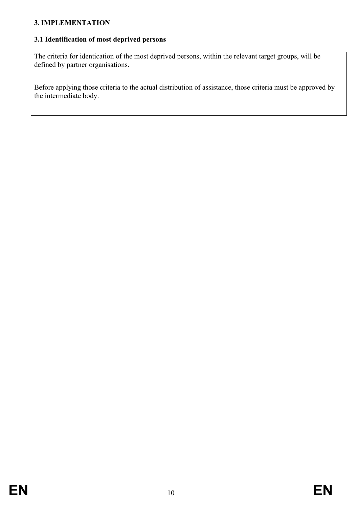## <span id="page-9-0"></span>**3. IMPLEMENTATION**

## <span id="page-9-1"></span>**3.1 Identification of most deprived persons**

The criteria for identication of the most deprived persons, within the relevant target groups, will be defined by partner organisations.

Before applying those criteria to the actual distribution of assistance, those criteria must be approved by the intermediate body.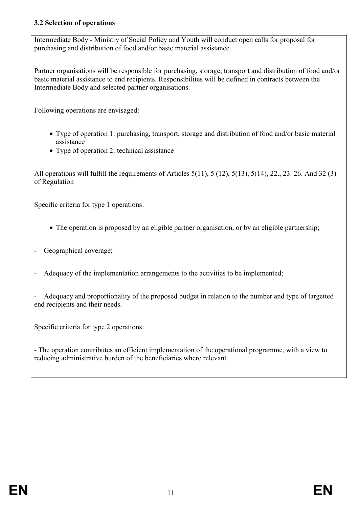## <span id="page-10-0"></span>**3.2 Selection of operations**

Intermediate Body - Ministry of Social Policy and Youth will conduct open calls for proposal for purchasing and distribution of food and/or basic material assistance.

Partner organisations will be responsible for purchasing, storage, transport and distribution of food and/or basic material assistance to end recipients. Responsibilites will be defined in contracts between the Intermediate Body and selected partner organisations.

Following operations are envisaged:

- Type of operation 1: purchasing, transport, storage and distribution of food and/or basic material assistance
- Type of operation 2: technical assistance

All operations will fulfill the requirements of Articles 5(11), 5 (12), 5(13), 5(14), 22., 23. 26. And 32 (3) of Regulation

Specific criteria for type 1 operations:

- The operation is proposed by an eligible partner organisation, or by an eligible partnership;
- Geographical coverage;
- Adequacy of the implementation arrangements to the activities to be implemented;

- Adequacy and proportionality of the proposed budget in relation to the number and type of targetted end recipients and their needs.

Specific criteria for type 2 operations:

- The operation contributes an efficient implementation of the operational programme, with a view to reducing administrative burden of the beneficiaries where relevant.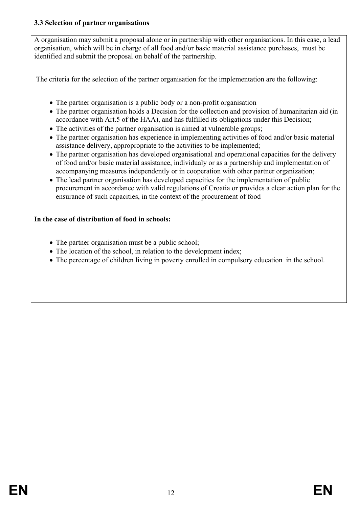## <span id="page-11-0"></span>**3.3 Selection of partner organisations**

A organisation may submit a proposal alone or in partnership with other organisations. In this case, a lead organisation, which will be in charge of all food and/or basic material assistance purchases, must be identified and submit the proposal on behalf of the partnership.

The criteria for the selection of the partner organisation for the implementation are the following:

- The partner organisation is a public body or a non-profit organisation
- The partner organisation holds a Decision for the collection and provision of humanitarian aid (in accordance with Art.5 of the HAA), and has fulfilled its obligations under this Decision;
- The activities of the partner organisation is aimed at vulnerable groups;
- The partner organisation has experience in implementing activities of food and/or basic material assistance delivery, appropropriate to the activities to be implemented;
- The partner organisation has developed organisational and operational capacities for the delivery of food and/or basic material assistance, individualy or as a partnership and implementation of accompanying measures independently or in cooperation with other partner organization;
- The lead partner organisation has developed capacities for the implementation of public procurement in accordance with valid regulations of Croatia or provides a clear action plan for the ensurance of such capacities, in the context of the procurement of food

## **In the case of distribution of food in schools:**

- The partner organisation must be a public school;
- The location of the school, in relation to the development index;
- The percentage of children living in poverty enrolled in compulsory education in the school.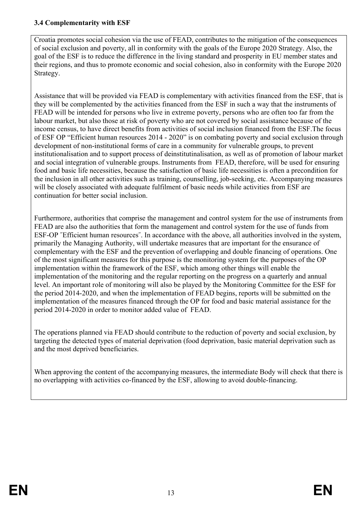### <span id="page-12-0"></span>**3.4 Complementarity with ESF**

Croatia promotes social cohesion via the use of FEAD, contributes to the mitigation of the consequences of social exclusion and poverty, all in conformity with the goals of the Europe 2020 Strategy. Also, the goal of the ESF is to reduce the difference in the living standard and prosperity in EU member states and their regions, and thus to promote economic and social cohesion, also in conformity with the Europe 2020 Strategy.

Assistance that will be provided via FEAD is complementary with activities financed from the ESF, that is they will be complemented by the activities financed from the ESF in such a way that the instruments of FEAD will be intended for persons who live in extreme poverty, persons who are often too far from the labour market, but also those at risk of poverty who are not covered by social assistance because of the income census, to have direct benefits from activities of social inclusion financed from the ESF.The focus of ESF OP "Efficient human resources 2014 - 2020" is on combating poverty and social exclusion through development of non-institutional forms of care in a community for vulnerable groups, to prevent institutionalisation and to support process of deinstitutinalisation, as well as of promotion of labour market and social integration of vulnerable groups. Instruments from FEAD, therefore, will be used for ensuring food and basic life necessities, because the satisfaction of basic life necessities is often a precondition for the inclusion in all other activities such as training, counselling, job-seeking, etc. Accompanying measures will be closely associated with adequate fulfilment of basic needs while activities from ESF are continuation for better social inclusion.

Furthermore, authorities that comprise the management and control system for the use of instruments from FEAD are also the authorities that form the management and control system for the use of funds from ESF-OP "Efficient human resources". In accordance with the above, all authorities involved in the system, primarily the Managing Authority, will undertake measures that are important for the ensurance of complementary with the ESF and the prevention of overlapping and double financing of operations. One of the most significant measures for this purpose is the monitoring system for the purposes of the OP implementation within the framework of the ESF, which among other things will enable the implementation of the monitoring and the regular reporting on the progress on a quarterly and annual level. An important role of monitoring will also be played by the Monitoring Committee for the ESF for the period 2014-2020, and when the implementation of FEAD begins, reports will be submitted on the implementation of the measures financed through the OP for food and basic material assistance for the period 2014-2020 in order to monitor added value of FEAD.

The operations planned via FEAD should contribute to the reduction of poverty and social exclusion, by targeting the detected types of material deprivation (food deprivation, basic material deprivation such as and the most deprived beneficiaries.

When approving the content of the accompanying measures, the intermediate Body will check that there is no overlapping with activities co-financed by the ESF, allowing to avoid double-financing.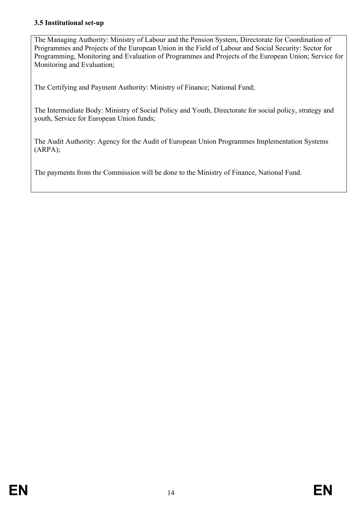## <span id="page-13-0"></span>**3.5 Institutional set-up**

The Managing Authority: Ministry of Labour and the Pension System, Directorate for Coordination of Programmes and Projects of the European Union in the Field of Labour and Social Security: Sector for Programming, Monitoring and Evaluation of Programmes and Projects of the European Union; Service for Monitoring and Evaluation;

The Certifying and Payment Authority: Ministry of Finance; National Fund;

The Intermediate Body: Ministry of Social Policy and Youth, Directorate for social policy, strategy and youth, Service for European Union funds;

The Audit Authority: Agency for the Audit of European Union Programmes Implementation Systems (ARPA);

The payments from the Commission will be done to the Ministry of Finance, National Fund.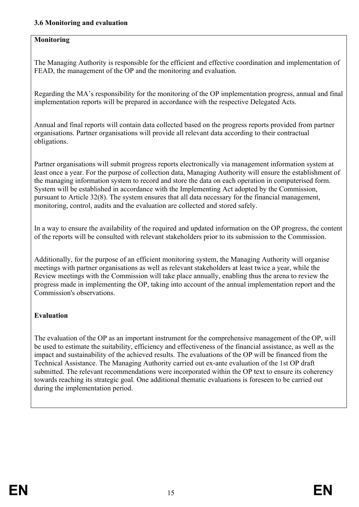#### <span id="page-14-0"></span>**3.6 Monitoring and evaluation**

## **Monitoring**

The Managing Authority is responsible for the efficient and effective coordination and implementation of FEAD, the management of the OP and the monitoring and evaluation.

Regarding the MA's responsibility for the monitoring of the OP implementation progress, annual and final implementation reports will be prepared in accordance with the respective Delegated Acts.

Annual and final reports will contain data collected based on the progress reports provided from partner organisations. Partner organisations will provide all relevant data according to their contractual obligations.

Partner organisations will submit progress reports electronically via management information system at least once a year. For the purpose of collection data, Managing Authority will ensure the establishment of the managing information system to record and store the data on each operation in computerised form. System will be established in accordance with the Implementing Act adopted by the Commission, pursuant to Article 32(8). The system ensures that all data necessary for the financial management, monitoring, control, audits and the evaluation are collected and stored safely.

In a way to ensure the availability of the required and updated information on the OP progress, the content of the reports will be consulted with relevant stakeholders prior to its submission to the Commission.

Additionally, for the purpose of an efficient monitoring system, the Managing Authority will organise meetings with partner organisations as well as relevant stakeholders at least twice a year, while the Review meetings with the Commission will take place annually, enabling thus the arena to review the progress made in implementing the OP, taking into account of the annual implementation report and the Commission's observations.

## **Evaluation**

The evaluation of the OP as an important instrument for the comprehensive management of the OP, will be used to estimate the suitability, efficiency and effectiveness of the financial assistance, as well as the impact and sustainability of the achieved results. The evaluations of the OP will be financed from the Technical Assistance. The Managing Authority carried out ex-ante evaluation of the 1st OP draft submitted. The relevant recommendations were incorporated within the OP text to ensure its coherency towards reaching its strategic goal. One additional thematic evaluations is foreseen to be carried out during the implementation period.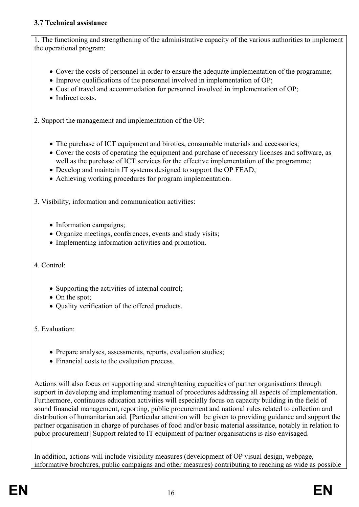## <span id="page-15-0"></span>**3.7 Technical assistance**

1. The functioning and strengthening of the administrative capacity of the various authorities to implement the operational program:

- Cover the costs of personnel in order to ensure the adequate implementation of the programme;
- Improve qualifications of the personnel involved in implementation of OP;
- Cost of travel and accommodation for personnel involved in implementation of OP;
- Indirect costs

2. Support the management and implementation of the OP:

- The purchase of ICT equipment and birotics, consumable materials and accessories;
- Cover the costs of operating the equipment and purchase of necessary licenses and software, as well as the purchase of ICT services for the effective implementation of the programme;
- Develop and maintain IT systems designed to support the OP FEAD;
- Achieving working procedures for program implementation.

3. Visibility, information and communication activities:

- Information campaigns;
- Organize meetings, conferences, events and study visits;
- Implementing information activities and promotion.

# 4. Control:

- Supporting the activities of internal control;
- On the spot;
- Quality verification of the offered products.

# 5. Evaluation:

- Prepare analyses, assessments, reports, evaluation studies;
- Financial costs to the evaluation process.

Actions will also focus on supporting and strenghtening capacities of partner organisations through support in developing and implementing manual of procedures addressing all aspects of implementation. Furthermore, continuous education activities will especially focus on capacity building in the field of sound financial management, reporting, public procurement and national rules related to collection and distribution of humanitarian aid. [Particular attention will be given to providing guidance and support the partner organisation in charge of purchases of food and/or basic material asssitance, notably in relation to pubic procurement] Support related to IT equipment of partner organisations is also envisaged.

In addition, actions will include visibility measures (development of OP visual design, webpage, informative brochures, public campaigns and other measures) contributing to reaching as wide as possible

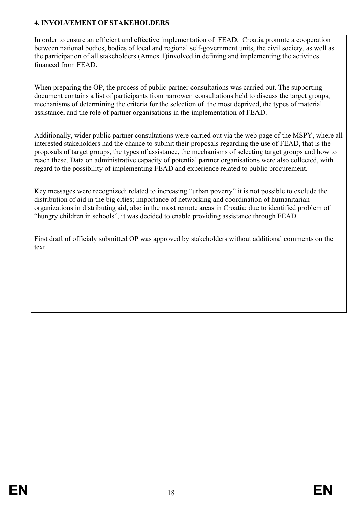### <span id="page-17-0"></span>**4. INVOLVEMENT OF STAKEHOLDERS**

In order to ensure an efficient and effective implementation of FEAD, Croatia promote a cooperation between national bodies, bodies of local and regional self-government units, the civil society, as well as the participation of all stakeholders (Annex 1)involved in defining and implementing the activities financed from FEAD.

When preparing the OP, the process of public partner consultations was carried out. The supporting document contains a list of participants from narrower consultations held to discuss the target groups, mechanisms of determining the criteria for the selection of the most deprived, the types of material assistance, and the role of partner organisations in the implementation of FEAD.

Additionally, wider public partner consultations were carried out via the web page of the MSPY, where all interested stakeholders had the chance to submit their proposals regarding the use of FEAD, that is the proposals of target groups, the types of assistance, the mechanisms of selecting target groups and how to reach these. Data on administrative capacity of potential partner organisations were also collected, with regard to the possibility of implementing FEAD and experience related to public procurement.

Key messages were recognized: related to increasing "urban poverty" it is not possible to exclude the distribution of aid in the big cities; importance of networking and coordination of humanitarian organizations in distributing aid, also in the most remote areas in Croatia; due to identified problem of "hungry children in schools", it was decided to enable providing assistance through FEAD.

First draft of officialy submitted OP was approved by stakeholders without additional comments on the text.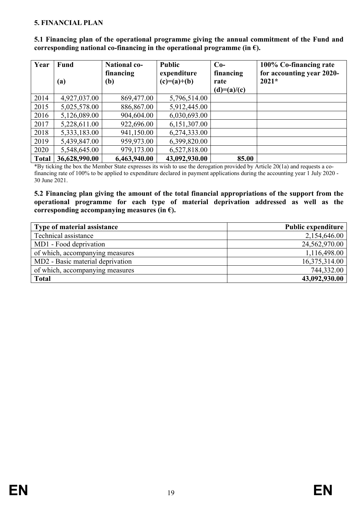#### <span id="page-18-0"></span>**5. FINANCIAL PLAN**

| Year         | <b>Fund</b>                | <b>National co-</b><br>financing | <b>Public</b><br>expenditure | $Co-$<br>financing | 100% Co-financing rate<br>for accounting year 2020- |
|--------------|----------------------------|----------------------------------|------------------------------|--------------------|-----------------------------------------------------|
|              | $\left( \mathbf{a}\right)$ | (b)                              | $(c)=(a)+(b)$                | rate               | $2021*$                                             |
|              |                            |                                  |                              | $(d)=(a)/(c)$      |                                                     |
| 2014         | 4,927,037.00               | 869,477.00                       | 5,796,514.00                 |                    |                                                     |
| 2015         | 5,025,578.00               | 886,867.00                       | 5,912,445.00                 |                    |                                                     |
| 2016         | 5,126,089.00               | 904,604.00                       | 6,030,693.00                 |                    |                                                     |
| 2017         | 5,228,611.00               | 922,696.00                       | 6,151,307.00                 |                    |                                                     |
| 2018         | 5,333,183.00               | 941,150.00                       | 6,274,333.00                 |                    |                                                     |
| 2019         | 5,439,847.00               | 959,973.00                       | 6,399,820.00                 |                    |                                                     |
| 2020         | 5,548,645.00               | 979,173.00                       | 6,527,818.00                 |                    |                                                     |
| <b>Total</b> | 36,628,990.00              | 6,463,940.00                     | 43,092,930.00                | 85.00              |                                                     |

<span id="page-18-1"></span>**5.1 Financing plan of the operational programme giving the annual commitment of the Fund and corresponding national co-financing in the operational programme (in**  $\epsilon$ **).** 

\*By ticking the box the Member State expresses its wish to use the derogation provided by Article 20(1a) and requests a cofinancing rate of 100% to be applied to expenditure declared in payment applications during the accounting year 1 July 2020 - 30 June 2021.

<span id="page-18-2"></span>**5.2 Financing plan giving the amount of the total financial appropriations of the support from the operational programme for each type of material deprivation addressed as well as the corresponding accompanying measures (in €).**

| Type of material assistance      | <b>Public expenditure</b> |
|----------------------------------|---------------------------|
| Technical assistance             | 2,154,646.00              |
| MD1 - Food deprivation           | 24,562,970.00             |
| of which, accompanying measures  | 1,116,498.00              |
| MD2 - Basic material deprivation | 16,375,314.00             |
| of which, accompanying measures  | 744,332.00                |
| <b>Total</b>                     | 43,092,930.00             |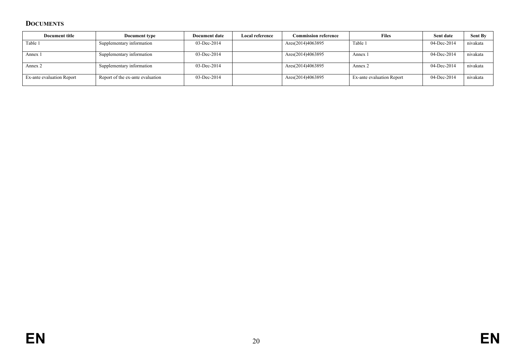## **DOCUMENTS**

<span id="page-19-0"></span>

| Document title            | Document type                    | Document date  | Local reference | <b>Commission reference</b> | <b>Files</b>              | Sent date   | <b>Sent By</b> |
|---------------------------|----------------------------------|----------------|-----------------|-----------------------------|---------------------------|-------------|----------------|
| Table 1                   | Supplementary information        | 03-Dec-2014    |                 | Ares(2014)4063895           | Table 1                   | 04-Dec-2014 | nivakata       |
| Annex 1                   | Supplementary information        | $03$ -Dec-2014 |                 | Ares(2014)4063895           | Annex 1                   | 04-Dec-2014 | nivakata       |
| Annex 2                   | Supplementary information        | $03$ -Dec-2014 |                 | Ares(2014)4063895           | Annex 2                   | 04-Dec-2014 | nivakata       |
| Ex-ante evaluation Report | Report of the ex-ante evaluation | $03$ -Dec-2014 |                 | Ares(2014)4063895           | Ex-ante evaluation Report | 04-Dec-2014 | nivakata       |